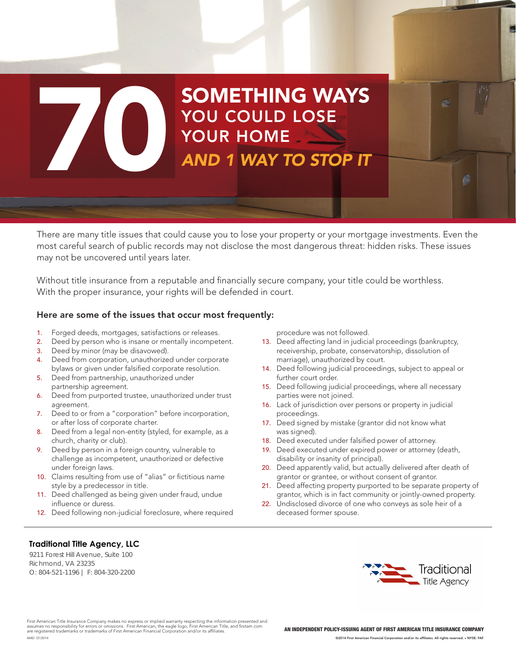# **20 YOU COULD LOSE**<br>YOUR HOME<br>AND 1 WAY TO STOP IT SOMETHING WAYS YOU COULD LOSE YOUR HOME

There are many title issues that could cause you to lose your property or your mortgage investments. Even the most careful search of public records may not disclose the most dangerous threat: hidden risks. These issues may not be uncovered until years later.

Without title insurance from a reputable and financially secure company, your title could be worthless. With the proper insurance, your rights will be defended in court.

### Here are some of the issues that occur most frequently:

- 1. Forged deeds, mortgages, satisfactions or releases.
- 2. Deed by person who is insane or mentally incompetent.
- 3. Deed by minor (may be disavowed).
- 4. Deed from corporation, unauthorized under corporate bylaws or given under falsified corporate resolution.
- 5. Deed from partnership, unauthorized under partnership agreement.
- 6. Deed from purported trustee, unauthorized under trust agreement.
- 7. Deed to or from a "corporation" before incorporation, or after loss of corporate charter.
- 8. Deed from a legal non-entity (styled, for example, as a church, charity or club).
- 9. Deed by person in a foreign country, vulnerable to challenge as incompetent, unauthorized or defective under foreign laws.
- 10. Claims resulting from use of "alias" or fictitious name style by a predecessor in title.
- 11. Deed challenged as being given under fraud, undue influence or duress.
- 12. Deed following non-judicial foreclosure, where required

procedure was not followed.

- 13. Deed affecting land in judicial proceedings (bankruptcy, receivership, probate, conservatorship, dissolution of marriage), unauthorized by court.
- 14. Deed following judicial proceedings, subject to appeal or further court order.
- 15. Deed following judicial proceedings, where all necessary parties were not joined.
- 16. Lack of jurisdiction over persons or property in judicial proceedings.
- 17. Deed signed by mistake (grantor did not know what was signed).
- 18. Deed executed under falsified power of attorney.
- 19. Deed executed under expired power or attorney (death, disability or insanity of principal).
- 20. Deed apparently valid, but actually delivered after death of grantor or grantee, or without consent of grantor.
- 21. Deed affecting property purported to be separate property of grantor, which is in fact community or jointly-owned property.
- 22. Undisclosed divorce of one who conveys as sole heir of a deceased former spouse.

## **Traditional Title Agency, LLC**

9211 Forest Hill Avenue, Suite 100 Richmond, VA 23235 O: 804-521-1196 | F: 804-320-2200



First American Title Insurance Company makes no express or implied warranty respecting the information presented and<br>assumes no responsibility for errors or omissions. First American, the eagle logo, First American Title, AMD: 07/2014

AN INDEPENDENT POLICY-ISSUING AGENT OF FIRST AMERICAN TITLE INSURANCE COMPANY